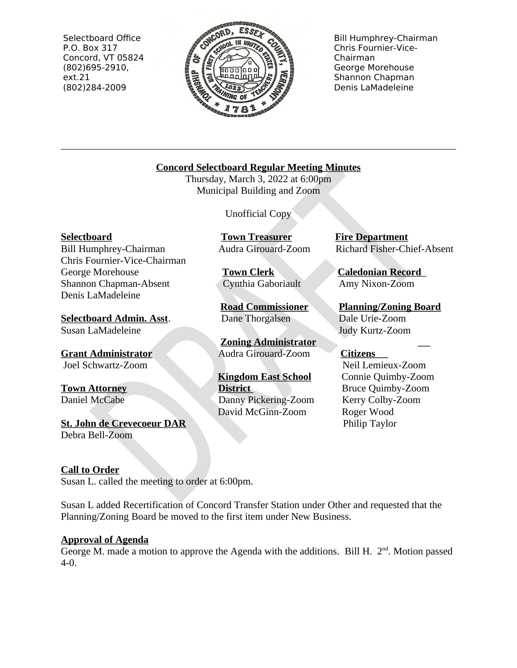Selectboard Office P.O. Box 317 Concord, VT 05824  $(802)695-2910,$  $ext.21$ (802)284-2009



**Bill Humphrey-Chairman** Chris Fournier-Vice-Chairman George Morehouse Shannon Chapman Denis LaMadeleine

# **Concord Selectboard Regular Meeting Minutes**

Thursday, March 3, 2022 at 6:00pm Municipal Building and Zoom

**Unofficial Copy** 

**Town Treasurer** 

**Town Clerk** 

Audra Girouard-Zoom

Cynthia Gaboriault

**Road Commissioner** 

**Zoning Administrator** 

Audra Girouard-Zoom

**Kingdom East School** 

Danny Pickering-Zoom

David McGinn-Zoom

**District** 

Dane Thorgalsen

**Selectboard** 

Bill Humphrey-Chairman Chris Fournier-Vice-Chairman George Morehouse Shannon Chapman-Absent Denis LaMadeleine

**Selectboard Admin. Asst.** Susan LaMadeleine

**Grant Administrator** Joel Schwartz-Zoom

**Town Attorney** Daniel McCabe

**St. John de Crevecoeur DAR** Debra Bell-Zoom

# **Call to Order**

Susan L. called the meeting to order at 6:00pm.

Susan L added Recertification of Concord Transfer Station under Other and requested that the Planning/Zoning Board be moved to the first item under New Business.

# **Approval of Agenda**

George M. made a motion to approve the Agenda with the additions. Bill H.  $2<sup>nd</sup>$ . Motion passed  $4-0.$ 

**Fire Department** Richard Fisher-Chief-Absent

**Caledonian Record** Amy Nixon-Zoom

**Planning/Zoning Board** Dale Urie-Zoom Judy Kurtz-Zoom

# **Citizens**

Neil Lemieux-Zoom Connie Quimby-Zoom **Bruce Quimby-Zoom** Kerry Colby-Zoom Roger Wood Philip Taylor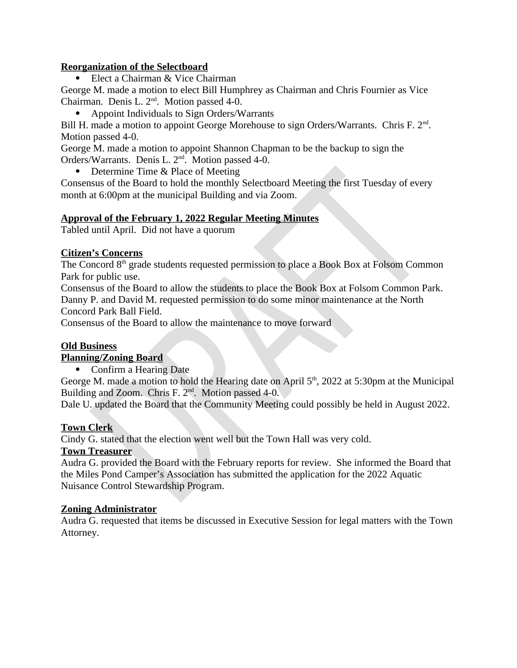# **Reorganization of the Selectboard**

Elect a Chairman & Vice Chairman  $\bullet$ 

George M. made a motion to elect Bill Humphrey as Chairman and Chris Fournier as Vice Chairman. Denis L. 2<sup>nd</sup>. Motion passed 4-0.

• Appoint Individuals to Sign Orders/Warrants

Bill H. made a motion to appoint George Morehouse to sign Orders/Warrants. Chris F. 2<sup>nd</sup>. Motion passed 4-0.

George M. made a motion to appoint Shannon Chapman to be the backup to sign the Orders/Warrants. Denis L. 2<sup>nd</sup>. Motion passed 4-0.

• Determine Time & Place of Meeting

Consensus of the Board to hold the monthly Selectboard Meeting the first Tuesday of every month at 6:00pm at the municipal Building and via Zoom.

# **Approval of the February 1, 2022 Regular Meeting Minutes**

Tabled until April. Did not have a quorum

#### **Citizen's Concerns**

The Concord 8<sup>th</sup> grade students requested permission to place a Book Box at Folsom Common Park for public use.

Consensus of the Board to allow the students to place the Book Box at Folsom Common Park. Danny P. and David M. requested permission to do some minor maintenance at the North Concord Park Ball Field.

Consensus of the Board to allow the maintenance to move forward

# **Old Business**

# **Planning/Zoning Board**

• Confirm a Hearing Date

George M. made a motion to hold the Hearing date on April 5<sup>th</sup>, 2022 at 5:30pm at the Municipal Building and Zoom. Chris F. 2<sup>nd</sup>. Motion passed 4-0.

Dale U. updated the Board that the Community Meeting could possibly be held in August 2022.

# **Town Clerk**

Cindy G. stated that the election went well but the Town Hall was very cold.

# **Town Treasurer**

Audra G. provided the Board with the February reports for review. She informed the Board that the Miles Pond Camper's Association has submitted the application for the 2022 Aquatic Nuisance Control Stewardship Program.

# **Zoning Administrator**

Audra G. requested that items be discussed in Executive Session for legal matters with the Town Attorney.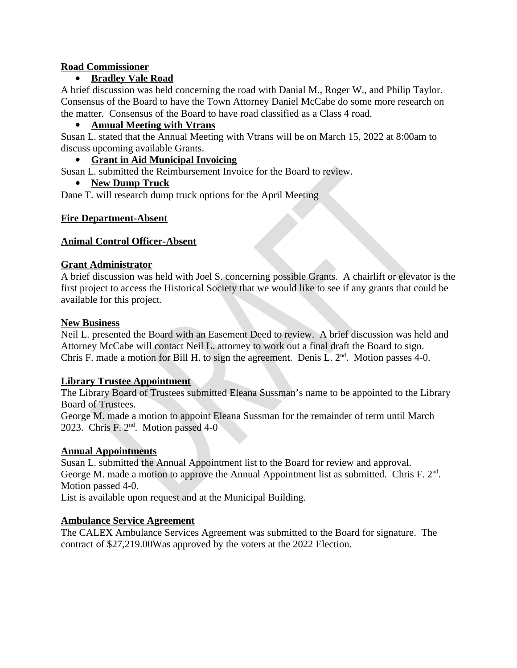#### **Road Commissioner**

# • Bradley Vale Road

A brief discussion was held concerning the road with Danial M., Roger W., and Philip Taylor. Consensus of the Board to have the Town Attorney Daniel McCabe do some more research on the matter. Consensus of the Board to have road classified as a Class 4 road.

# • Annual Meeting with Vtrans

Susan L. stated that the Annual Meeting with Vtrans will be on March 15, 2022 at 8:00am to discuss upcoming available Grants.

# • Grant in Aid Municipal Invoicing

Susan L. submitted the Reimbursement Invoice for the Board to review.

# • New Dump Truck

Dane T. will research dump truck options for the April Meeting

# **Fire Department-Absent**

# **Animal Control Officer-Absent**

# **Grant Administrator**

A brief discussion was held with Joel S. concerning possible Grants. A chairlift or elevator is the first project to access the Historical Society that we would like to see if any grants that could be available for this project.

#### **New Business**

Neil L. presented the Board with an Easement Deed to review. A brief discussion was held and Attorney McCabe will contact Neil L. attorney to work out a final draft the Board to sign. Chris F. made a motion for Bill H. to sign the agreement. Denis L. 2<sup>nd</sup>. Motion passes 4-0.

# **Library Trustee Appointment**

The Library Board of Trustees submitted Eleana Sussman's name to be appointed to the Library Board of Trustees.

George M. made a motion to appoint Eleana Sussman for the remainder of term until March 2023. Chris F.  $2<sup>nd</sup>$ . Motion passed 4-0

# **Annual Appointments**

Susan L. submitted the Annual Appointment list to the Board for review and approval. George M. made a motion to approve the Annual Appointment list as submitted. Chris F.  $2<sup>nd</sup>$ . Motion passed 4-0.

List is available upon request and at the Municipal Building.

# **Ambulance Service Agreement**

The CALEX Ambulance Services Agreement was submitted to the Board for signature. The contract of \$27,219.00 Was approved by the voters at the 2022 Election.